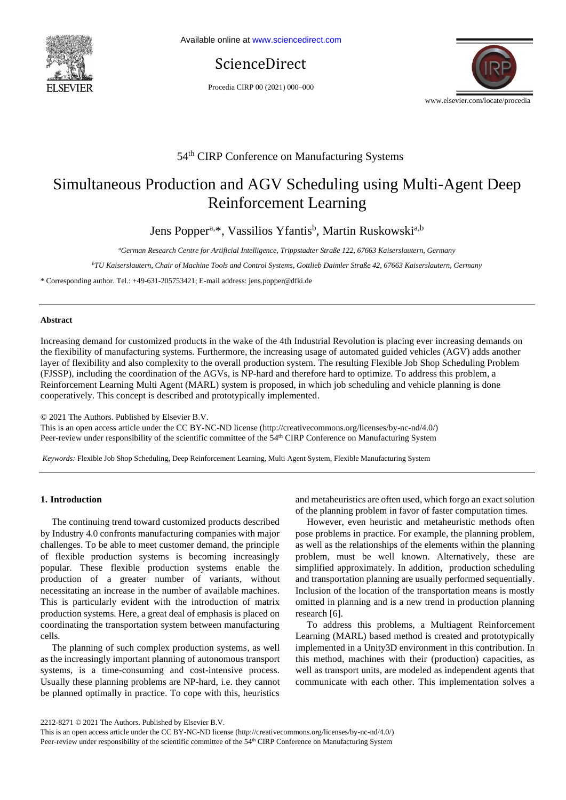

ScienceDirect

Procedia CIRP 00 (2021) 000–000



# 54th CIRP Conference on Manufacturing Systems

# Simultaneous Production and AGV Scheduling using Multi-Agent Deep Reinforcement Learning

Jens Popper<sup>a,\*</sup>, Vassilios Yfantis<sup>b</sup>, Martin Ruskowski<sup>a,b</sup>

*<sup>a</sup>German Research Centre for Artificial Intelligence, Trippstadter Straße 122, 67663 Kaiserslautern, Germany*

*<sup>b</sup>TU Kaiserslautern, Chair of Machine Tools and Control Systems, Gottlieb Daimler Straße 42, 67663 Kaiserslautern, Germany*

\* Corresponding author. Tel.: +49-631-205753421; E-mail address: jens.popper@dfki.de

# **Abstract**

Increasing demand for customized products in the wake of the 4th Industrial Revolution is placing ever increasing demands on the flexibility of manufacturing systems. Furthermore, the increasing usage of automated guided vehicles (AGV) adds another layer of flexibility and also complexity to the overall production system. The resulting Flexible Job Shop Scheduling Problem (FJSSP), including the coordination of the AGVs, is NP-hard and therefore hard to optimize. To address this problem, a Reinforcement Learning Multi Agent (MARL) system is proposed, in which job scheduling and vehicle planning is done cooperatively. This concept is described and prototypically implemented.

© 2021 The Authors. Published by Elsevier B.V.

This is an open access article under the CC BY-NC-ND license [\(http://creativecommons.org/licenses/by-nc-nd/4.0/\)](http://creativecommons.org/licenses/by-nc-nd/4.0/) Peer-review under responsibility of the scientific committee of the 54<sup>th</sup> CIRP Conference on Manufacturing System

*Keywords:* Flexible Job Shop Scheduling, Deep Reinforcement Learning, Multi Agent System, Flexible Manufacturing System

# **1. Introduction**

The continuing trend toward customized products described by Industry 4.0 confronts manufacturing companies with major challenges. To be able to meet customer demand, the principle of flexible production systems is becoming increasingly popular. These flexible production systems enable the production of a greater number of variants, without necessitating an increase in the number of available machines. This is particularly evident with the introduction of matrix production systems. Here, a great deal of emphasis is placed on coordinating the transportation system between manufacturing cells.

The planning of such complex production systems, as well as the increasingly important planning of autonomous transport systems, is a time-consuming and cost-intensive process. Usually these planning problems are NP-hard, i.e. they cannot be planned optimally in practice. To cope with this, heuristics

and metaheuristics are often used, which forgo an exact solution of the planning problem in favor of faster computation times.

However, even heuristic and metaheuristic methods often pose problems in practice. For example, the planning problem, as well as the relationships of the elements within the planning problem, must be well known. Alternatively, these are simplified approximately. In addition, production scheduling and transportation planning are usually performed sequentially. Inclusion of the location of the transportation means is mostly omitted in planning and is a new trend in production planning research [6].

To address this problems, a Multiagent Reinforcement Learning (MARL) based method is created and prototypically implemented in a Unity3D environment in this contribution. In this method, machines with their (production) capacities, as well as transport units, are modeled as independent agents that communicate with each other. This implementation solves a

2212-8271 © 2021 The Authors. Published by Elsevier B.V.

This is an open access article under the CC BY-NC-ND license [\(http://creativecommons.org/licenses/by-nc-nd/4.0/\)](http://creativecommons.org/licenses/by-nc-nd/4.0/) Peer-review under responsibility of the scientific committee of the 54<sup>th</sup> CIRP Conference on Manufacturing System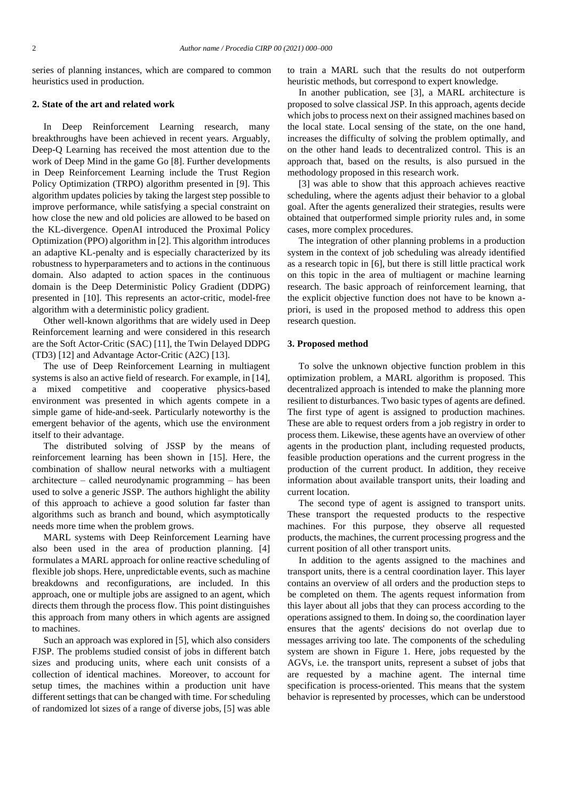series of planning instances, which are compared to common heuristics used in production.

# **2. State of the art and related work**

In Deep Reinforcement Learning research, many breakthroughs have been achieved in recent years. Arguably, Deep-Q Learning has received the most attention due to the work of Deep Mind in the game Go [8]. Further developments in Deep Reinforcement Learning include the Trust Region Policy Optimization (TRPO) algorithm presented in [9]. This algorithm updates policies by taking the largest step possible to improve performance, while satisfying a special constraint on how close the new and old policies are allowed to be based on the KL-divergence. OpenAI introduced the Proximal Policy Optimization (PPO) algorithm in [2]. This algorithm introduces an adaptive KL-penalty and is especially characterized by its robustness to hyperparameters and to actions in the continuous domain. Also adapted to action spaces in the continuous domain is the Deep Deterministic Policy Gradient (DDPG) presented in [10]. This represents an actor-critic, model-free algorithm with a deterministic policy gradient.

Other well-known algorithms that are widely used in Deep Reinforcement learning and were considered in this research are the Soft Actor-Critic (SAC) [11], the Twin Delayed DDPG (TD3) [12] and Advantage Actor-Critic (A2C) [13].

The use of Deep Reinforcement Learning in multiagent systems is also an active field of research. For example, in [14], a mixed competitive and cooperative physics-based environment was presented in which agents compete in a simple game of hide-and-seek. Particularly noteworthy is the emergent behavior of the agents, which use the environment itself to their advantage.

The distributed solving of JSSP by the means of reinforcement learning has been shown in [15]. Here, the combination of shallow neural networks with a multiagent architecture – called neurodynamic programming – has been used to solve a generic JSSP. The authors highlight the ability of this approach to achieve a good solution far faster than algorithms such as branch and bound, which asymptotically needs more time when the problem grows.

MARL systems with Deep Reinforcement Learning have also been used in the area of production planning. [4] formulates a MARL approach for online reactive scheduling of flexible job shops. Here, unpredictable events, such as machine breakdowns and reconfigurations, are included. In this approach, one or multiple jobs are assigned to an agent, which directs them through the process flow. This point distinguishes this approach from many others in which agents are assigned to machines.

Such an approach was explored in [5], which also considers FJSP. The problems studied consist of jobs in different batch sizes and producing units, where each unit consists of a collection of identical machines. Moreover, to account for setup times, the machines within a production unit have different settings that can be changed with time. For scheduling of randomized lot sizes of a range of diverse jobs, [5] was able to train a MARL such that the results do not outperform heuristic methods, but correspond to expert knowledge.

In another publication, see [3], a MARL architecture is proposed to solve classical JSP. In this approach, agents decide which jobs to process next on their assigned machines based on the local state. Local sensing of the state, on the one hand, increases the difficulty of solving the problem optimally, and on the other hand leads to decentralized control. This is an approach that, based on the results, is also pursued in the methodology proposed in this research work.

[3] was able to show that this approach achieves reactive scheduling, where the agents adjust their behavior to a global goal. After the agents generalized their strategies, results were obtained that outperformed simple priority rules and, in some cases, more complex procedures.

The integration of other planning problems in a production system in the context of job scheduling was already identified as a research topic in [6], but there is still little practical work on this topic in the area of multiagent or machine learning research. The basic approach of reinforcement learning, that the explicit objective function does not have to be known apriori, is used in the proposed method to address this open research question.

## **3. Proposed method**

To solve the unknown objective function problem in this optimization problem, a MARL algorithm is proposed. This decentralized approach is intended to make the planning more resilient to disturbances. Two basic types of agents are defined. The first type of agent is assigned to production machines. These are able to request orders from a job registry in order to process them. Likewise, these agents have an overview of other agents in the production plant, including requested products, feasible production operations and the current progress in the production of the current product. In addition, they receive information about available transport units, their loading and current location.

The second type of agent is assigned to transport units. These transport the requested products to the respective machines. For this purpose, they observe all requested products, the machines, the current processing progress and the current position of all other transport units.

In addition to the agents assigned to the machines and transport units, there is a central coordination layer. This layer contains an overview of all orders and the production steps to be completed on them. The agents request information from this layer about all jobs that they can process according to the operations assigned to them. In doing so, the coordination layer ensures that the agents' decisions do not overlap due to messages arriving too late. The components of the scheduling system are shown in Figure 1. Here, jobs requested by the AGVs, i.e. the transport units, represent a subset of jobs that are requested by a machine agent. The internal time specification is process-oriented. This means that the system behavior is represented by processes, which can be understood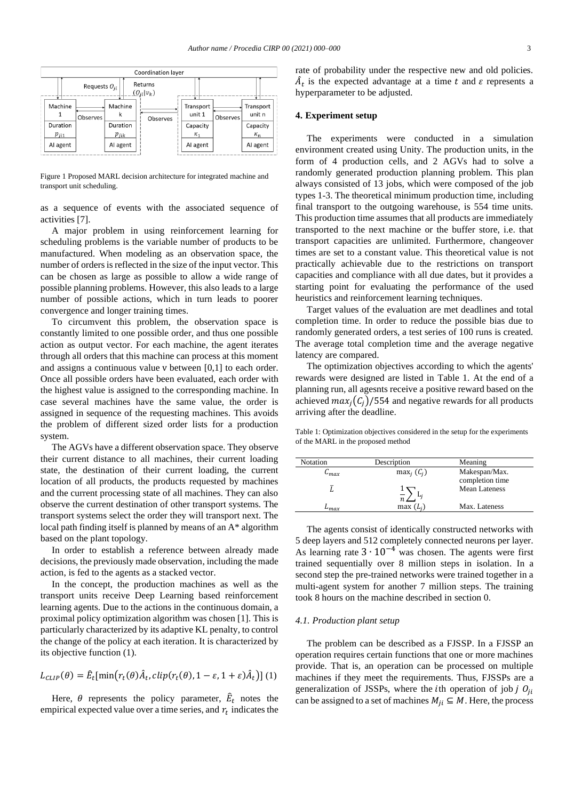

Figure 1 Proposed MARL decision architecture for integrated machine and transport unit scheduling.

as a sequence of events with the associated sequence of activities [7].

A major problem in using reinforcement learning for scheduling problems is the variable number of products to be manufactured. When modeling as an observation space, the number of orders is reflected in the size of the input vector. This can be chosen as large as possible to allow a wide range of possible planning problems. However, this also leads to a large number of possible actions, which in turn leads to poorer convergence and longer training times.

To circumvent this problem, the observation space is constantly limited to one possible order, and thus one possible action as output vector. For each machine, the agent iterates through all orders that this machine can process at this moment and assigns a continuous value v between [0,1] to each order. Once all possible orders have been evaluated, each order with the highest value is assigned to the corresponding machine. In case several machines have the same value, the order is assigned in sequence of the requesting machines. This avoids the problem of different sized order lists for a production system.

The AGVs have a different observation space. They observe their current distance to all machines, their current loading state, the destination of their current loading, the current location of all products, the products requested by machines and the current processing state of all machines. They can also observe the current destination of other transport systems. The transport systems select the order they will transport next. The local path finding itself is planned by means of an A\* algorithm based on the plant topology.

In order to establish a reference between already made decisions, the previously made observation, including the made action, is fed to the agents as a stacked vector.

In the concept, the production machines as well as the transport units receive Deep Learning based reinforcement learning agents. Due to the actions in the continuous domain, a proximal policy optimization algorithm was chosen [1]. This is particularly characterized by its adaptive KL penalty, to control the change of the policy at each iteration. It is characterized by its objective function (1).

$$
L_{CLIP}(\theta) = \hat{E}_t[\min(r_t(\theta)\hat{A}_t, clip(r_t(\theta), 1 - \varepsilon, 1 + \varepsilon)\hat{A}_t)]
$$
 (1)

Here,  $\theta$  represents the policy parameter,  $\hat{E}_t$  notes the empirical expected value over a time series, and  $r_t$  indicates the rate of probability under the respective new and old policies.  $\hat{A}_t$  is the expected advantage at a time t and  $\varepsilon$  represents a hyperparameter to be adjusted.

## **4. Experiment setup**

The experiments were conducted in a simulation environment created using Unity. The production units, in the form of 4 production cells, and 2 AGVs had to solve a randomly generated production planning problem. This plan always consisted of 13 jobs, which were composed of the job types 1-3. The theoretical minimum production time, including final transport to the outgoing warehouse, is 554 time units. This production time assumes that all products are immediately transported to the next machine or the buffer store, i.e. that transport capacities are unlimited. Furthermore, changeover times are set to a constant value. This theoretical value is not practically achievable due to the restrictions on transport capacities and compliance with all due dates, but it provides a starting point for evaluating the performance of the used heuristics and reinforcement learning techniques.

Target values of the evaluation are met deadlines and total completion time. In order to reduce the possible bias due to randomly generated orders, a test series of 100 runs is created. The average total completion time and the average negative latency are compared.

The optimization objectives according to which the agents' rewards were designed are listed in [Table 1.](#page-2-0) At the end of a planning run, all agesnts receive a positive reward based on the achieved  $max_i(C_i)/554$  and negative rewards for all products arriving after the deadline.

<span id="page-2-0"></span>Table 1: Optimization objectives considered in the setup for the experiments of the MARL in the proposed method

| Notation     | Description   | Meaning              |
|--------------|---------------|----------------------|
| $\cup_{max}$ | $max_i (C_i)$ | Makespan/Max.        |
|              |               | completion time      |
|              | $\frac{1}{n}$ | <b>Mean Lateness</b> |
|              |               |                      |
| -max         | $max(L_i)$    | Max. Lateness        |

The agents consist of identically constructed networks with 5 deep layers and 512 completely connected neurons per layer. As learning rate  $3 \cdot 10^{-4}$  was chosen. The agents were first trained sequentially over 8 million steps in isolation. In a second step the pre-trained networks were trained together in a multi-agent system for another 7 million steps. The training took 8 hours on the machine described in section [0.](#page-3-0)

# *4.1. Production plant setup*

The problem can be described as a FJSSP. In a FJSSP an operation requires certain functions that one or more machines provide. That is, an operation can be processed on multiple machines if they meet the requirements. Thus, FJSSPs are a generalization of JSSPs, where the *i*th operation of job *j*  $O_{ii}$ can be assigned to a set of machines  $M_{ii} \subseteq M$ . Here, the process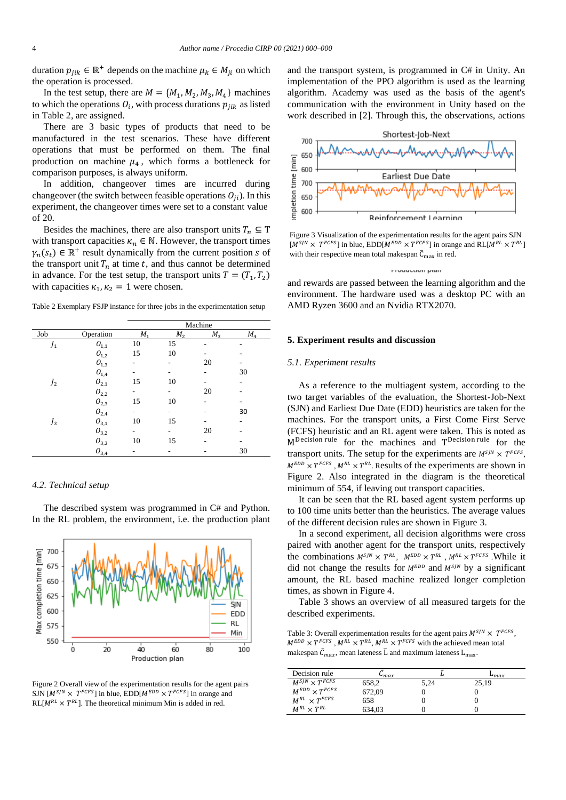duration  $p_{jik} \in \mathbb{R}^+$  depends on the machine  $\mu_k \in M_{ji}$  on which the operation is processed.

In the test setup, there are  $M = \{M_1, M_2, M_3, M_4\}$  machines to which the operations  $O_i$ , with process durations  $p_{jik}$  as listed in Table 2, are assigned.

There are 3 basic types of products that need to be manufactured in the test scenarios. These have different operations that must be performed on them. The final production on machine  $\mu_4$ , which forms a bottleneck for comparison purposes, is always uniform.

In addition, changeover times are incurred during changeover (the switch between feasible operations  $O_{ii}$ ). In this experiment, the changeover times were set to a constant value of 20.

Besides the machines, there are also transport units  $T_n \subseteq T$ with transport capacities  $\kappa_n \in \mathbb{N}$ . However, the transport times  $\gamma_n(s_t) \in \mathbb{R}^+$  result dynamically from the current position s of the transport unit  $T_n$  at time t, and thus cannot be determined in advance. For the test setup, the transport units  $T = (T_1, T_2)$ with capacities  $\kappa_1, \kappa_2 = 1$  were chosen.

Table 2 Exemplary FSJP instance for three jobs in the experimentation setup

|                |                              | Machine                  |         |             |                |
|----------------|------------------------------|--------------------------|---------|-------------|----------------|
| Job            | Operation                    | $M_{1}$                  | $M_{2}$ | $M_{\rm z}$ | M <sub>4</sub> |
| $J_1$          | ${\cal O}_{1,1}$             | 10                       | 15      | ٠           | ۰              |
|                | $O_{1,2}$                    | 15                       | 10      |             |                |
|                | ${\cal O}_{1,3}$             | -                        | ۰       | 20          |                |
|                | ${\cal O}_{1,4}$             |                          |         |             | 30             |
| J <sub>2</sub> | $O_{2,1}$                    | 15                       | 10      |             |                |
|                | $O_{2,2}$                    | ٠                        | ۰       | 20          |                |
|                | $O_{2,3}$                    | 15                       | 10      |             |                |
|                | $O_{2,4}$                    |                          |         |             | 30             |
| $J_3$          | ${\cal O}_{3,1}$             | 10                       | 15      |             | -              |
|                | $O_{3,2}$                    | $\overline{\phantom{0}}$ | ۰       | 20          |                |
|                | $O_{3,3}$                    | 10                       | 15      |             |                |
|                | ${\cal O}_{\underline{3,4}}$ | ۰                        | ۰       |             | 30             |

#### *4.2. Technical setup*

The described system was programmed in C# and Python. In the RL problem, the environment, i.e. the production plant



Figure 2 Overall view of the experimentation results for the agent pairs SJN  $[M^{S/N} \times T^{FCFS}]$  in blue, EDD $[M^{EDD} \times T^{FCFS}]$  in orange and  $RL[M<sup>RL</sup> \times T<sup>RL</sup>]$ . The theoretical minimum Min is added in red.

and the transport system, is programmed in C# in Unity. An implementation of the PPO algorithm is used as the learning algorithm. Academy was used as the basis of the agent's communication with the environment in Unity based on the work described in [2]. Through this, the observations, actions



Figure 3 Visualization of the experimentation results for the agent pairs SJN  $[M^{S/N} \times T^{FCFS}]$  in blue,  $EDD[M^{EDD} \times T^{FCFS}]$  in orange and  $RL[M^{RL} \times T^{RL}]$ with their respective mean total makespan  $\bar{C}_{max}$  in red.

**Frequetion** pion

<span id="page-3-0"></span>and rewards are passed between the learning algorithm and the environment. The hardware used was a desktop PC with an AMD Ryzen 3600 and an Nvidia RTX2070.

# **5. Experiment results and discussion**

#### *5.1. Experiment results*

As a reference to the multiagent system, according to the two target variables of the evaluation, the Shortest-Job-Next (SJN) and Earliest Due Date (EDD) heuristics are taken for the machines. For the transport units, a First Come First Serve (FCFS) heuristic and an RL agent were taken. This is noted as M<sup>Decision rule</sup> for the machines and T<sup>Decision rule</sup> for the transport units. The setup for the experiments are  $M^{S/N} \times T^{FCFS}$ ,  $M^{EDD} \times T^{FCFS}$ ,  $M^{RL} \times T^{RL}$ . Results of the experiments are shown in Figure 2. Also integrated in the diagram is the theoretical minimum of 554, if leaving out transport capacities.

It can be seen that the RL based agent system performs up to 100 time units better than the heuristics. The average values of the different decision rules are shown in Figure 3.

In a second experiment, all decision algorithms were cross paired with another agent for the transport units, respectively the combinations  $M^{S/N} \times T^{RL}$ ,  $M^{EDD} \times T^{RL}$ ,  $M^{RL} \times T^{FCFS}$ . While it did not change the results for  $M^{EDD}$  and  $M^{S/N}$  by a significant amount, the RL based machine realized longer completion times, as shown in Figure 4.

Table 3 shows an overview of all measured targets for the described experiments.

Table 3: Overall experimentation results for the agent pairs  $M^{S/N} \times T^{FCFS}$ ,  $M^{EDD} \times T^{FCFS}$ ,  $M^{RL} \times T^{RL}$ ,  $M^{RL} \times T^{FCFS}$  with the achieved mean total makespan  $\bar{C}_{max}$ , mean lateness  $\bar{L}$  and maximum lateness  $L_{max}$ .

| Decision rule             | $-$ max |      | max   |
|---------------------------|---------|------|-------|
| $M^{S/N} \times T^{FCFS}$ | 658.2   | 5.24 | 25.19 |
| $M^{EDD} \times T^{FCFS}$ | 672.09  |      |       |
| $M^{RL} \times T^{FCFS}$  | 658     |      |       |
| $M^{RL} \times T^{RL}$    | 634.03  |      |       |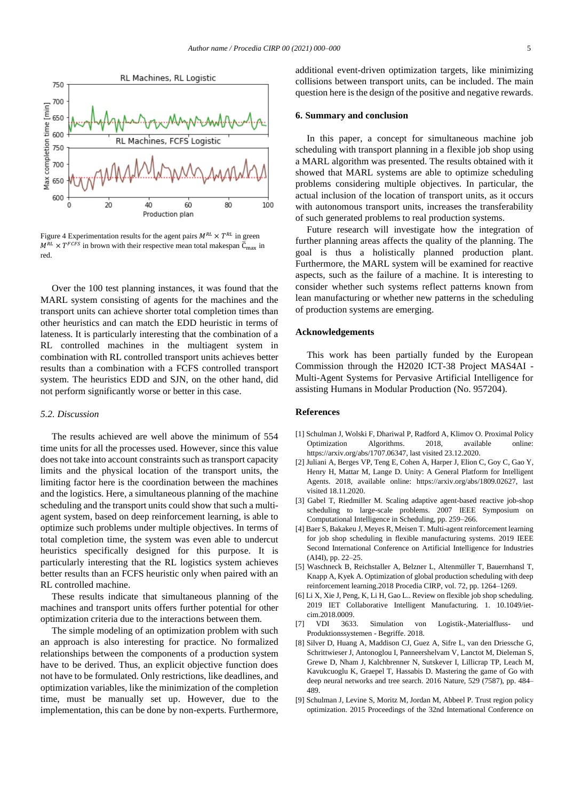

Figure 4 Experimentation results for the agent pairs  $M^{RL} \times T^{RL}$  in green  $M^{RL} \times T^{FCFS}$  in brown with their respective mean total makespan  $\bar{C}_{max}$  in red.

Over the 100 test planning instances, it was found that the MARL system consisting of agents for the machines and the transport units can achieve shorter total completion times than other heuristics and can match the EDD heuristic in terms of lateness. It is particularly interesting that the combination of a RL controlled machines in the multiagent system in combination with RL controlled transport units achieves better results than a combination with a FCFS controlled transport system. The heuristics EDD and SJN, on the other hand, did not perform significantly worse or better in this case.

# *5.2. Discussion*

The results achieved are well above the minimum of 554 time units for all the processes used. However, since this value does not take into account constraints such as transport capacity limits and the physical location of the transport units, the limiting factor here is the coordination between the machines and the logistics. Here, a simultaneous planning of the machine scheduling and the transport units could show that such a multiagent system, based on deep reinforcement learning, is able to optimize such problems under multiple objectives. In terms of total completion time, the system was even able to undercut heuristics specifically designed for this purpose. It is particularly interesting that the RL logistics system achieves better results than an FCFS heuristic only when paired with an RL controlled machine.

These results indicate that simultaneous planning of the machines and transport units offers further potential for other optimization criteria due to the interactions between them.

The simple modeling of an optimization problem with such an approach is also interesting for practice. No formalized relationships between the components of a production system have to be derived. Thus, an explicit objective function does not have to be formulated. Only restrictions, like deadlines, and optimization variables, like the minimization of the completion time, must be manually set up. However, due to the implementation, this can be done by non-experts. Furthermore, additional event-driven optimization targets, like minimizing collisions between transport units, can be included. The main question here is the design of the positive and negative rewards.

#### **6. Summary and conclusion**

In this paper, a concept for simultaneous machine job scheduling with transport planning in a flexible job shop using a MARL algorithm was presented. The results obtained with it showed that MARL systems are able to optimize scheduling problems considering multiple objectives. In particular, the actual inclusion of the location of transport units, as it occurs with autonomous transport units, increases the transferability of such generated problems to real production systems.

Future research will investigate how the integration of further planning areas affects the quality of the planning. The goal is thus a holistically planned production plant. Furthermore, the MARL system will be examined for reactive aspects, such as the failure of a machine. It is interesting to consider whether such systems reflect patterns known from lean manufacturing or whether new patterns in the scheduling of production systems are emerging.

#### **Acknowledgements**

This work has been partially funded by the European Commission through the H2020 ICT-38 Project MAS4AI - Multi-Agent Systems for Pervasive Artificial Intelligence for assisting Humans in Modular Production (No. 957204).

#### **References**

- [1] Schulman J, Wolski F, Dhariwal P, Radford A, Klimov O. Proximal Policy Optimization Algorithms. 2018, available online: https://arxiv.org/abs/1707.06347, last visited 23.12.2020.
- [2] Juliani A, Berges VP, Teng E, Cohen A, Harper J, Elion C, Goy C, Gao Y, Henry H, Mattar M, Lange D. Unity: A General Platform for Intelligent Agents. 2018, available online: https://arxiv.org/abs/1809.02627, last visited 18.11.2020.
- [3] Gabel T, Riedmiller M. Scaling adaptive agent-based reactive job-shop scheduling to large-scale problems. 2007 IEEE Symposium on Computational Intelligence in Scheduling, pp. 259–266.
- [4] Baer S, Bakakeu J, Meyes R, Meisen T. Multi-agent reinforcement learning for job shop scheduling in flexible manufacturing systems. 2019 IEEE Second International Conference on Artificial Intelligence for Industries (AI4I), pp. 22–25.
- [5] Waschneck B, Reichstaller A, Belzner L, Altenmüller T, Bauernhansl T, Knapp A, Kyek A. Optimization of global production scheduling with deep reinforcement learning.2018 Procedia CIRP, vol. 72, pp. 1264–1269.
- [6] Li X, Xie J, Peng, K, Li H, Gao L.. Review on flexible job shop scheduling. 2019 IET Collaborative Intelligent Manufacturing. 1. 10.1049/ietcim.2018.0009.
- [7] VDI 3633. Simulation von Logistik-,Materialfluss- und Produktionssystemen - Begriffe. 2018.
- [8] Silver D, Huang A, Maddison CJ, Guez A, Sifre L, van den Driessche G, Schrittwieser J, Antonoglou I, Panneershelvam V, Lanctot M, Dieleman S, Grewe D, Nham J, Kalchbrenner N, Sutskever I, Lillicrap TP, Leach M, Kavukcuoglu K, Graepel T, Hassabis D. Mastering the game of Go with deep neural networks and tree search. 2016 Nature, 529 (7587), pp. 484– 489.
- [9] Schulman J, Levine S, Moritz M, Jordan M, Abbeel P. Trust region policy optimization. 2015 Proceedings of the 32nd International Conference on